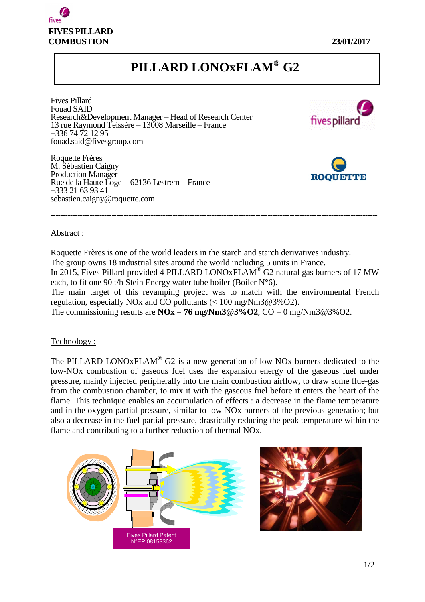

# **PILLARD LONOxFLAM® G2**

Fives Pillard Fouad SAID Research&Development Manager – Head of Research Center 13 rue Raymond Teissère – 13008 Marseille – France +336 74 72 12 95 fouad.said@fivesgroup.com

Roquette Frères M. Sébastien Caigny Production Manager Rue de la Haute Loge - 62136 Lestrem – France +333 21 63 93 41 sebastien.caigny@roquette.com





### Abstract :

Roquette Frères is one of the world leaders in the starch and starch derivatives industry. The group owns 18 industrial sites around the world including 5 units in France. In 2015, Fives Pillard provided 4 PILLARD LONOxFLAM<sup>®</sup> G2 natural gas burners of 17 MW each, to fit one 90 t/h Stein Energy water tube boiler (Boiler  $N^{\circ}6$ ). The main target of this revamping project was to match with the environmental French regulation, especially NOx and CO pollutants (< 100 mg/Nm3@3%O2).

**--------------------------------------------------------------------------------------------------------------------------------------** 

The commissioning results are  $\text{NOx} = 76 \text{ mg}/\text{Nm}3@3\% \text{O2}$ ,  $\text{CO} = 0 \text{ mg}/\text{Nm}3@3\% \text{O2}$ .

### Technology :

The PILLARD LONOxFLAM<sup>®</sup> G2 is a new generation of low-NOx burners dedicated to the low-NOx combustion of gaseous fuel uses the expansion energy of the gaseous fuel under pressure, mainly injected peripherally into the main combustion airflow, to draw some flue-gas from the combustion chamber, to mix it with the gaseous fuel before it enters the heart of the flame. This technique enables an accumulation of effects : a decrease in the flame temperature and in the oxygen partial pressure, similar to low-NOx burners of the previous generation; but also a decrease in the fuel partial pressure, drastically reducing the peak temperature within the flame and contributing to a further reduction of thermal NOx.